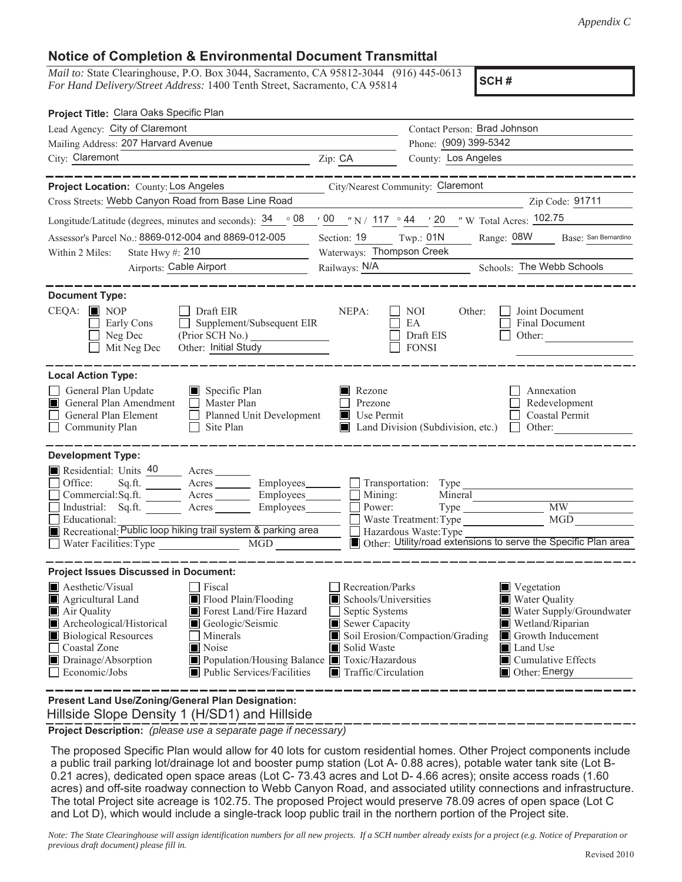## **Notice of Completion & Environmental Document Transmittal**

*Mail to:* State Clearinghouse, P.O. Box 3044, Sacramento, CA 95812-3044 (916) 445-0613 *For Hand Delivery/Street Address:* 1400 Tenth Street, Sacramento, CA 95814

**SCH #**

| Project Title: Clara Oaks Specific Plan                                                                                                                                                                                                                                                                                                                                 |                                                                                                                                   |                                                           |                                                                                                                                                                    |  |
|-------------------------------------------------------------------------------------------------------------------------------------------------------------------------------------------------------------------------------------------------------------------------------------------------------------------------------------------------------------------------|-----------------------------------------------------------------------------------------------------------------------------------|-----------------------------------------------------------|--------------------------------------------------------------------------------------------------------------------------------------------------------------------|--|
| Lead Agency: City of Claremont                                                                                                                                                                                                                                                                                                                                          | Contact Person: Brad Johnson                                                                                                      |                                                           |                                                                                                                                                                    |  |
| Mailing Address: 207 Harvard Avenue                                                                                                                                                                                                                                                                                                                                     |                                                                                                                                   |                                                           | Phone: (909) 399-5342                                                                                                                                              |  |
| City: Claremont                                                                                                                                                                                                                                                                                                                                                         | Zip: CA                                                                                                                           | County: Los Angeles                                       |                                                                                                                                                                    |  |
| _______                                                                                                                                                                                                                                                                                                                                                                 |                                                                                                                                   |                                                           |                                                                                                                                                                    |  |
| Project Location: County: Los Angeles                                                                                                                                                                                                                                                                                                                                   |                                                                                                                                   | City/Nearest Community: Claremont                         |                                                                                                                                                                    |  |
| Cross Streets: Webb Canyon Road from Base Line Road                                                                                                                                                                                                                                                                                                                     |                                                                                                                                   |                                                           | Zip Code: 91711                                                                                                                                                    |  |
| Longitude/Latitude (degrees, minutes and seconds): $\frac{34}{9}$ $\frac{08}{9}$ / $\frac{00}{9}$ / $\frac{00}{9}$ / 117 $\degree$ 44 / 20 / <i>W</i> Total Acres: 102.75                                                                                                                                                                                               |                                                                                                                                   |                                                           |                                                                                                                                                                    |  |
| Assessor's Parcel No.: 8869-012-004 and 8869-012-005                                                                                                                                                                                                                                                                                                                    | Section: 19 Twp.: 01N                                                                                                             |                                                           | Range: 08W Base: San Bernardino                                                                                                                                    |  |
| State Hwy #: $210$<br>Within 2 Miles:<br><u> 1989 - Johann Barbara, martxa a</u>                                                                                                                                                                                                                                                                                        | Waterways: Thompson Creek                                                                                                         |                                                           |                                                                                                                                                                    |  |
| Airports: Cable Airport                                                                                                                                                                                                                                                                                                                                                 | Railways: N/A Schools: The Webb Schools                                                                                           |                                                           |                                                                                                                                                                    |  |
|                                                                                                                                                                                                                                                                                                                                                                         |                                                                                                                                   |                                                           |                                                                                                                                                                    |  |
| <b>Document Type:</b><br>$CEQA:$ MOP<br>$\Box$ Draft EIR<br>Early Cons<br>Supplement/Subsequent EIR<br>$\perp$<br>Neg Dec<br>Other: Initial Study<br>Mit Neg Dec                                                                                                                                                                                                        | NEPA:                                                                                                                             | NOI<br>Other:<br>EA<br>Draft EIS<br><b>FONSI</b>          | Joint Document<br>Final Document<br>Other: $\qquad \qquad$                                                                                                         |  |
| <b>Local Action Type:</b><br>General Plan Update<br>Specific Plan<br>General Plan Amendment<br>Master Plan<br>General Plan Element<br>Planned Unit Development<br>Community Plan<br>Site Plan<br>$\Box$                                                                                                                                                                 | Rezone<br>Prezone<br>Use Permit                                                                                                   | $\Box$ Land Division (Subdivision, etc.) $\Box$           | Annexation<br>Redevelopment<br>Coastal Permit<br>Other:                                                                                                            |  |
| <b>Development Type:</b><br>Residential: Units 40 Acres<br>Sq.ft. Acres Employees Transportation: Type<br>Office:<br>Commercial:Sq.ft. ________ Acres _________ Employees _______ $\Box$<br>Industrial: Sq.ft. _______ Acres ________ Employees _______ $\Box$<br>Educational:<br>Recreational: Public loop hiking trail system & parking area                          | Mining:<br>Power:                                                                                                                 | Mineral<br>Waste Treatment: Type<br>Hazardous Waste: Type | <b>MW</b><br>MGD<br>Other: Utility/road extensions to serve the Specific Plan area                                                                                 |  |
| <b>Project Issues Discussed in Document:</b>                                                                                                                                                                                                                                                                                                                            |                                                                                                                                   |                                                           |                                                                                                                                                                    |  |
| Aesthetic/Visual<br>$\Box$ Fiscal<br>Agricultural Land<br>Flood Plain/Flooding<br>Forest Land/Fire Hazard<br>Air Quality<br>Archeological/Historical<br>Geologic/Seismic<br><b>Biological Resources</b><br>Minerals<br>Noise<br>Coastal Zone<br>Population/Housing Balance Toxic/Hazardous<br>Drainage/Absorption<br>$\Box$ Economic/Jobs<br>Public Services/Facilities | Recreation/Parks<br>Schools/Universities<br>Septic Systems<br>Sewer Capacity<br>Solid Waste<br>$\blacksquare$ Traffic/Circulation | Soil Erosion/Compaction/Grading                           | Vegetation<br>Water Quality<br>Water Supply/Groundwater<br>Wetland/Riparian<br>Growth Inducement<br>Land Use<br>Cumulative Effects<br>$\blacksquare$ Other: Energy |  |
| Present Land Use/Zoning/General Plan Designation:                                                                                                                                                                                                                                                                                                                       |                                                                                                                                   |                                                           |                                                                                                                                                                    |  |

Hillside Slope Density 1 (H/SD1) and Hillside

**Project Description:** *(please use a separate page if necessary)*

 The proposed Specific Plan would allow for 40 lots for custom residential homes. Other Project components include a public trail parking lot/drainage lot and booster pump station (Lot A- 0.88 acres), potable water tank site (Lot B-0.21 acres), dedicated open space areas (Lot C- 73.43 acres and Lot D- 4.66 acres); onsite access roads (1.60 acres) and off-site roadway connection to Webb Canyon Road, and associated utility connections and infrastructure. The total Project site acreage is 102.75. The proposed Project would preserve 78.09 acres of open space (Lot C and Lot D), which would include a single-track loop public trail in the northern portion of the Project site.

*Note: The State Clearinghouse will assign identification numbers for all new projects. If a SCH number already exists for a project (e.g. Notice of Preparation or previous draft document) please fill in.*